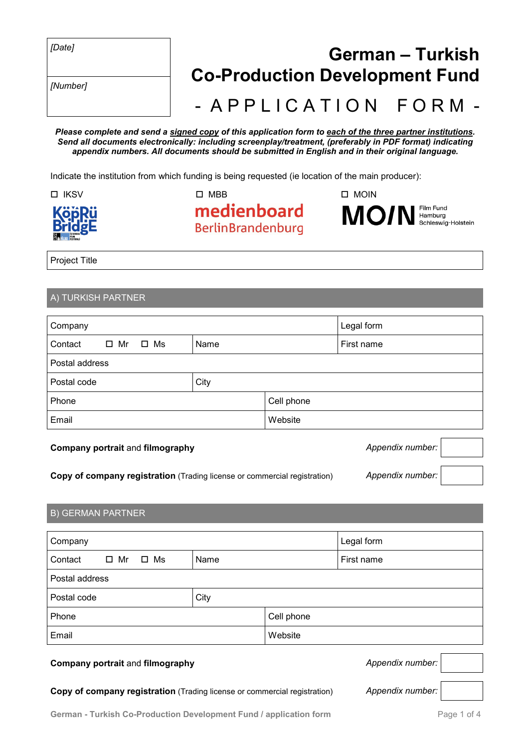|--|--|

*[Number]*

# *[Date]* **German – Turkish Co-Production Development Fund** - A P P L I C A T I O N F O R M -

*Please complete and send a signed copy of this application form to each of the three partner institutions. Send all documents electronically: including screenplay/treatment, (preferably in PDF format) indicating appendix numbers. All documents should be submitted in English and in their original language.*

Indicate the institution from which funding is being requested (ie location of the main producer):



 $\Box$  IKSV  $\Box$  MBB  $\Box$  MOIN medienboard **BerlinBrandenburg** 

Project Title

## A) TURKISH PARTNER

| Company                              |      |         | Legal form |  |
|--------------------------------------|------|---------|------------|--|
| $\Box$ Mr<br>$\square$ Ms<br>Contact | Name |         | First name |  |
| Postal address                       |      |         |            |  |
| Postal code                          | City |         |            |  |
| Cell phone<br>Phone                  |      |         |            |  |
| Email                                |      | Website |            |  |

### **Company portrait** and **filmography** *Appendix number: Appendix number:*

**Copy of company registration** (Trading license or commercial registration) *Appendix number:*

# B) GERMAN PARTNER

| Company          |            |      |  | Legal form |
|------------------|------------|------|--|------------|
| Contact          | ロ Mr ロ Ms  | Name |  | First name |
| Postal address   |            |      |  |            |
| Postal code      |            | City |  |            |
| Phone            | Cell phone |      |  |            |
| Email<br>Website |            |      |  |            |

#### **Company portrait** and **filmography** *Appendix number:*

**Copy of company registration** (Trading license or commercial registration) *Appendix number:*

Film Fund

MO/N Hamburg<br>Schleswig-Holstein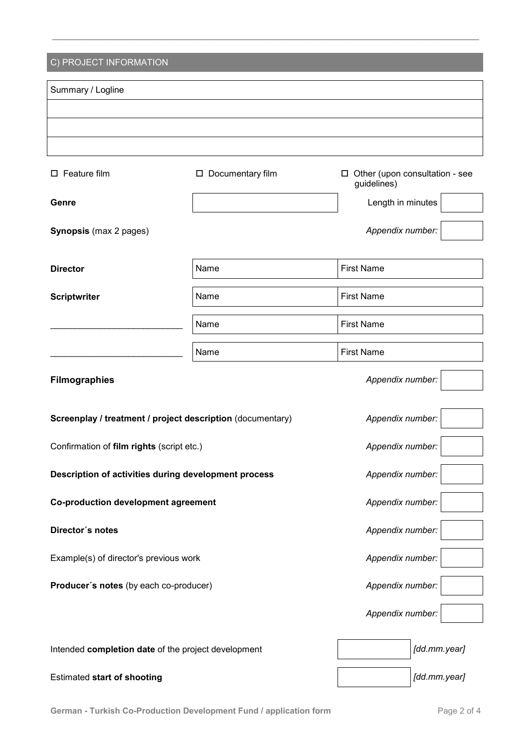| C) PROJECT INFORMATION                                     |                    |                   |                                |  |
|------------------------------------------------------------|--------------------|-------------------|--------------------------------|--|
| Summary / Logline                                          |                    |                   |                                |  |
|                                                            |                    |                   |                                |  |
|                                                            |                    |                   |                                |  |
|                                                            |                    |                   |                                |  |
| $\square$ Feature film                                     | □ Documentary film | 0<br>guidelines)  | Other (upon consultation - see |  |
| Genre                                                      |                    | Length in minutes |                                |  |
| <b>Synopsis</b> (max 2 pages)                              |                    | Appendix number:  |                                |  |
| <b>Director</b>                                            | Name               | <b>First Name</b> |                                |  |
| <b>Scriptwriter</b>                                        | Name               | <b>First Name</b> |                                |  |
|                                                            | Name               | <b>First Name</b> |                                |  |
|                                                            | Name               | <b>First Name</b> |                                |  |
| <b>Filmographies</b>                                       |                    | Appendix number:  |                                |  |
| Screenplay / treatment / project description (documentary) |                    | Appendix number:  |                                |  |
| Confirmation of film rights (script etc.)                  |                    | Appendix number:  |                                |  |
| Description of activities during development process       |                    | Appendix number:  |                                |  |
| <b>Co-production development agreement</b>                 |                    | Appendix number:  |                                |  |
| Director's notes                                           |                    | Appendix number:  |                                |  |
| Example(s) of director's previous work                     |                    | Appendix number:  |                                |  |
| Producer's notes (by each co-producer)                     |                    | Appendix number:  |                                |  |
|                                                            |                    | Appendix number:  |                                |  |
| Intended completion date of the project development        |                    |                   | [dd.mm.year]                   |  |
| <b>Estimated start of shooting</b>                         |                    |                   | [dd.mm.year]                   |  |

**\_\_\_\_\_\_\_\_\_\_\_\_\_\_\_\_\_\_\_\_\_\_\_\_\_\_\_\_\_\_\_\_\_\_\_\_\_\_\_\_\_\_\_\_\_\_\_\_\_\_\_\_\_\_\_\_\_\_\_\_\_\_\_\_\_\_\_\_\_\_\_\_\_\_\_\_\_\_\_\_\_\_\_\_\_\_\_\_\_\_\_**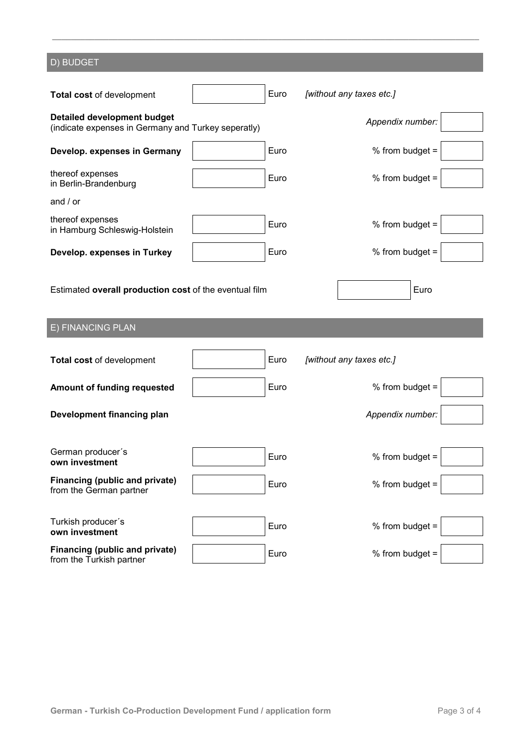| D) BUDGET                                                                                 |  |      |                          |  |
|-------------------------------------------------------------------------------------------|--|------|--------------------------|--|
|                                                                                           |  |      |                          |  |
| Total cost of development                                                                 |  | Euro | [without any taxes etc.] |  |
| <b>Detailed development budget</b><br>(indicate expenses in Germany and Turkey seperatly) |  |      | Appendix number:         |  |
| Develop. expenses in Germany                                                              |  | Euro | % from budget $=$        |  |
| thereof expenses<br>in Berlin-Brandenburg                                                 |  | Euro | % from budget $=$        |  |
| and $/$ or                                                                                |  |      |                          |  |
| thereof expenses<br>in Hamburg Schleswig-Holstein                                         |  | Euro | % from budget =          |  |
| Develop. expenses in Turkey                                                               |  | Euro | % from budget $=$        |  |
| Estimated overall production cost of the eventual film                                    |  |      | Euro                     |  |
|                                                                                           |  |      |                          |  |
| E) FINANCING PLAN                                                                         |  |      |                          |  |
| Total cost of development                                                                 |  | Euro | [without any taxes etc.] |  |
| Amount of funding requested                                                               |  | Euro | % from budget $=$        |  |
| Development financing plan                                                                |  |      | Appendix number:         |  |
| German producer's<br>own investment                                                       |  | Euro | % from budget =          |  |
| Financing (public and private)<br>from the German partner                                 |  | Euro | % from budget =          |  |
| Turkish producer's<br>own investment                                                      |  | Euro | % from budget =          |  |

**\_\_\_\_\_\_\_\_\_\_\_\_\_\_\_\_\_\_\_\_\_\_\_\_\_\_\_\_\_\_\_\_\_\_\_\_\_\_\_\_\_\_\_\_\_\_\_\_\_\_\_\_\_\_\_\_\_\_\_\_\_\_\_\_\_\_\_\_\_\_\_\_\_\_\_\_\_\_\_\_\_\_\_\_\_\_\_\_\_\_\_**